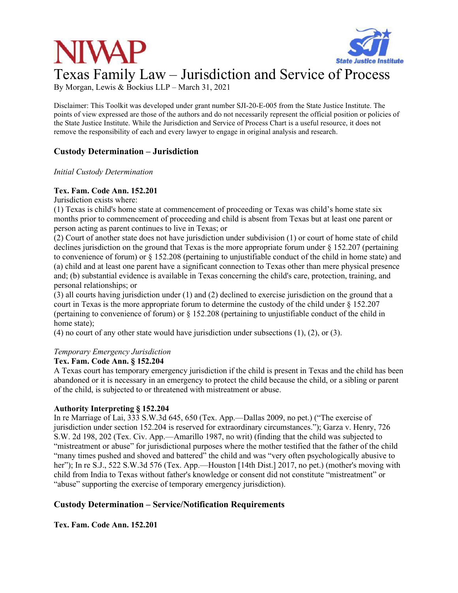

By Morgan, Lewis & Bockius LLP – March 31, 2021

Disclaimer: This Toolkit was developed under grant number SJI-20-E-005 from the State Justice Institute. The points of view expressed are those of the authors and do not necessarily represent the official position or policies of the State Justice Institute. While the Jurisdiction and Service of Process Chart is a useful resource, it does not remove the responsibility of each and every lawyer to engage in original analysis and research.

## **Custody Determination – Jurisdiction**

*Initial Custody Determination* 

#### **Tex. Fam. Code Ann. 152.201**

Jurisdiction exists where:

(1) Texas is child's home state at commencement of proceeding or Texas was child's home state six months prior to commencement of proceeding and child is absent from Texas but at least one parent or person acting as parent continues to live in Texas; or

(2) Court of another state does not have jurisdiction under subdivision (1) or court of home state of child declines jurisdiction on the ground that Texas is the more appropriate forum under § 152.207 (pertaining to convenience of forum) or § 152.208 (pertaining to unjustifiable conduct of the child in home state) and (a) child and at least one parent have a significant connection to Texas other than mere physical presence and; (b) substantial evidence is available in Texas concerning the child's care, protection, training, and personal relationships; or

(3) all courts having jurisdiction under (1) and (2) declined to exercise jurisdiction on the ground that a court in Texas is the more appropriate forum to determine the custody of the child under § 152.207 (pertaining to convenience of forum) or § 152.208 (pertaining to unjustifiable conduct of the child in home state);

(4) no court of any other state would have jurisdiction under subsections (1), (2), or (3).

#### *Temporary Emergency Jurisdiction*

#### **Tex. Fam. Code Ann. § 152.204**

A Texas court has temporary emergency jurisdiction if the child is present in Texas and the child has been abandoned or it is necessary in an emergency to protect the child because the child, or a sibling or parent of the child, is subjected to or threatened with mistreatment or abuse.

#### **Authority Interpreting § 152.204**

In re Marriage of Lai, 333 S.W.3d 645, 650 (Tex. App.—Dallas 2009, no pet.) ("The exercise of jurisdiction under section 152.204 is reserved for extraordinary circumstances."); Garza v. Henry, 726 S.W. 2d 198, 202 (Tex. Civ. App.—Amarillo 1987, no writ) (finding that the child was subjected to "mistreatment or abuse" for jurisdictional purposes where the mother testified that the father of the child "many times pushed and shoved and battered" the child and was "very often psychologically abusive to her"); In re S.J., 522 S.W.3d 576 (Tex. App.—Houston [14th Dist.] 2017, no pet.) (mother's moving with child from India to Texas without father's knowledge or consent did not constitute "mistreatment" or "abuse" supporting the exercise of temporary emergency jurisdiction).

## **Custody Determination – Service/Notification Requirements**

**Tex. Fam. Code Ann. 152.201**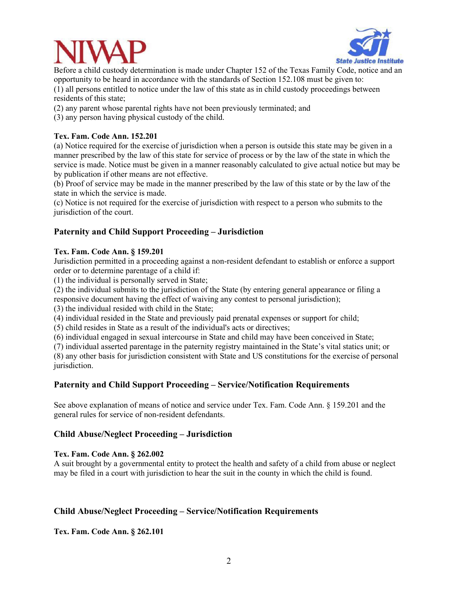



Before a child custody determination is made under Chapter 152 of the Texas Family Code, notice and an opportunity to be heard in accordance with the standards of Section 152.108 must be given to: (1) all persons entitled to notice under the law of this state as in child custody proceedings between

residents of this state;

(2) any parent whose parental rights have not been previously terminated; and

(3) any person having physical custody of the child.

#### **Tex. Fam. Code Ann. 152.201**

(a) Notice required for the exercise of jurisdiction when a person is outside this state may be given in a manner prescribed by the law of this state for service of process or by the law of the state in which the service is made. Notice must be given in a manner reasonably calculated to give actual notice but may be by publication if other means are not effective.

(b) Proof of service may be made in the manner prescribed by the law of this state or by the law of the state in which the service is made.

(c) Notice is not required for the exercise of jurisdiction with respect to a person who submits to the jurisdiction of the court.

## **Paternity and Child Support Proceeding – Jurisdiction**

#### **Tex. Fam. Code Ann. § 159.201**

Jurisdiction permitted in a proceeding against a non-resident defendant to establish or enforce a support order or to determine parentage of a child if:

(1) the individual is personally served in State;

(2) the individual submits to the jurisdiction of the State (by entering general appearance or filing a responsive document having the effect of waiving any contest to personal jurisdiction);

(3) the individual resided with child in the State;

(4) individual resided in the State and previously paid prenatal expenses or support for child;

(5) child resides in State as a result of the individual's acts or directives;

(6) individual engaged in sexual intercourse in State and child may have been conceived in State;

(7) individual asserted parentage in the paternity registry maintained in the State's vital statics unit; or

(8) any other basis for jurisdiction consistent with State and US constitutions for the exercise of personal jurisdiction.

## **Paternity and Child Support Proceeding – Service/Notification Requirements**

See above explanation of means of notice and service under Tex. Fam. Code Ann. § 159.201 and the general rules for service of non-resident defendants.

## **Child Abuse/Neglect Proceeding – Jurisdiction**

#### **Tex. Fam. Code Ann. § 262.002**

A suit brought by a governmental entity to protect the health and safety of a child from abuse or neglect may be filed in a court with jurisdiction to hear the suit in the county in which the child is found.

## **Child Abuse/Neglect Proceeding – Service/Notification Requirements**

**Tex. Fam. Code Ann. § 262.101**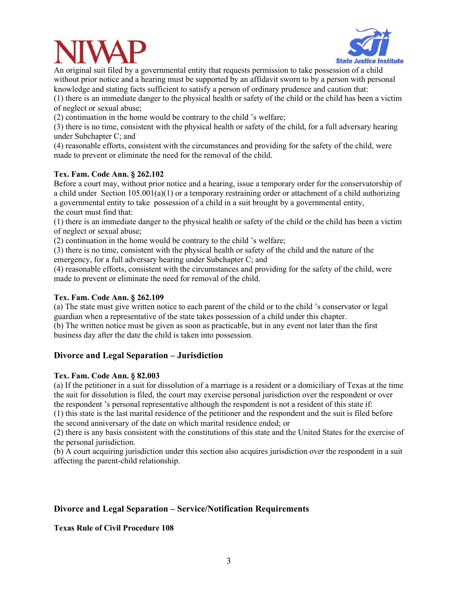



An original suit filed by a governmental entity that requests permission to take possession of a child without prior notice and a hearing must be supported by an affidavit sworn to by a person with personal knowledge and stating facts sufficient to satisfy a person of ordinary prudence and caution that:

(1) there is an immediate danger to the physical health or safety of the child or the child has been a victim of neglect or sexual abuse;

(2) continuation in the home would be contrary to the child 's welfare;

(3) there is no time, consistent with the physical health or safety of the child, for a full adversary hearing under Subchapter C; and

(4) reasonable efforts, consistent with the circumstances and providing for the safety of the child, were made to prevent or eliminate the need for the removal of the child.

#### **Tex. Fam. Code Ann. § 262.102**

Before a court may, without prior notice and a hearing, issue a temporary order for the conservatorship of a child under Section  $105.001(a)(1)$  or a temporary restraining order or attachment of a child authorizing a governmental entity to take possession of a child in a suit brought by a governmental entity, the court must find that:

(1) there is an immediate danger to the physical health or safety of the child or the child has been a victim of neglect or sexual abuse;

(2) continuation in the home would be contrary to the child 's welfare;

(3) there is no time, consistent with the physical health or safety of the child and the nature of the emergency, for a full adversary hearing under Subchapter C; and

(4) reasonable efforts, consistent with the circumstances and providing for the safety of the child, were made to prevent or eliminate the need for removal of the child.

#### **Tex. Fam. Code Ann. § 262.109**

(a) The state must give written notice to each parent of the child or to the child 's conservator or legal guardian when a representative of the state takes possession of a child under this chapter.

(b) The written notice must be given as soon as practicable, but in any event not later than the first business day after the date the child is taken into possession.

## **Divorce and Legal Separation – Jurisdiction**

#### **Tex. Fam. Code Ann. § 82.003**

(a) If the petitioner in a suit for dissolution of a marriage is a resident or a domiciliary of Texas at the time the suit for dissolution is filed, the court may exercise personal jurisdiction over the respondent or over the respondent 's personal representative although the respondent is not a resident of this state if:

(1) this state is the last marital residence of the petitioner and the respondent and the suit is filed before the second anniversary of the date on which marital residence ended; or

(2) there is any basis consistent with the constitutions of this state and the United States for the exercise of the personal jurisdiction.

(b) A court acquiring jurisdiction under this section also acquires jurisdiction over the respondent in a suit affecting the parent-child relationship.

## **Divorce and Legal Separation – Service/Notification Requirements**

**Texas Rule of Civil Procedure 108**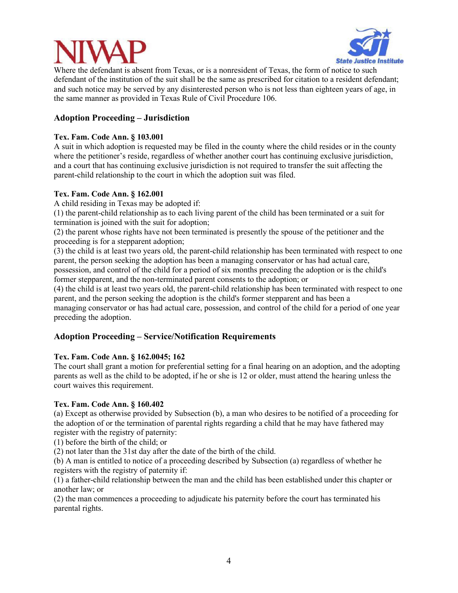

Where the defendant is absent from Texas, or is a nonresident of Texas, the form of notice to such defendant of the institution of the suit shall be the same as prescribed for citation to a resident defendant; and such notice may be served by any disinterested person who is not less than eighteen years of age, in the same manner as provided in Texas Rule of Civil Procedure 106.

# **Adoption Proceeding – Jurisdiction**

## **Tex. Fam. Code Ann. § 103.001**

A suit in which adoption is requested may be filed in the county where the child resides or in the county where the petitioner's reside, regardless of whether another court has continuing exclusive jurisdiction, and a court that has continuing exclusive jurisdiction is not required to transfer the suit affecting the parent-child relationship to the court in which the adoption suit was filed.

## **Tex. Fam. Code Ann. § 162.001**

A child residing in Texas may be adopted if:

(1) the parent-child relationship as to each living parent of the child has been terminated or a suit for termination is joined with the suit for adoption;

(2) the parent whose rights have not been terminated is presently the spouse of the petitioner and the proceeding is for a stepparent adoption;

(3) the child is at least two years old, the parent-child relationship has been terminated with respect to one parent, the person seeking the adoption has been a managing conservator or has had actual care, possession, and control of the child for a period of six months preceding the adoption or is the child's former stepparent, and the non-terminated parent consents to the adoption; or

(4) the child is at least two years old, the parent-child relationship has been terminated with respect to one parent, and the person seeking the adoption is the child's former stepparent and has been a managing conservator or has had actual care, possession, and control of the child for a period of one year preceding the adoption.

# **Adoption Proceeding – Service/Notification Requirements**

# **Tex. Fam. Code Ann. § 162.0045; 162**

The court shall grant a motion for preferential setting for a final hearing on an adoption, and the adopting parents as well as the child to be adopted, if he or she is 12 or older, must attend the hearing unless the court waives this requirement.

## **Tex. Fam. Code Ann. § 160.402**

(a) Except as otherwise provided by Subsection (b), a man who desires to be notified of a proceeding for the adoption of or the termination of parental rights regarding a child that he may have fathered may register with the registry of paternity:

(1) before the birth of the child; or

(2) not later than the 31st day after the date of the birth of the child.

(b) A man is entitled to notice of a proceeding described by Subsection (a) regardless of whether he registers with the registry of paternity if:

(1) a father-child relationship between the man and the child has been established under this chapter or another law; or

(2) the man commences a proceeding to adjudicate his paternity before the court has terminated his parental rights.